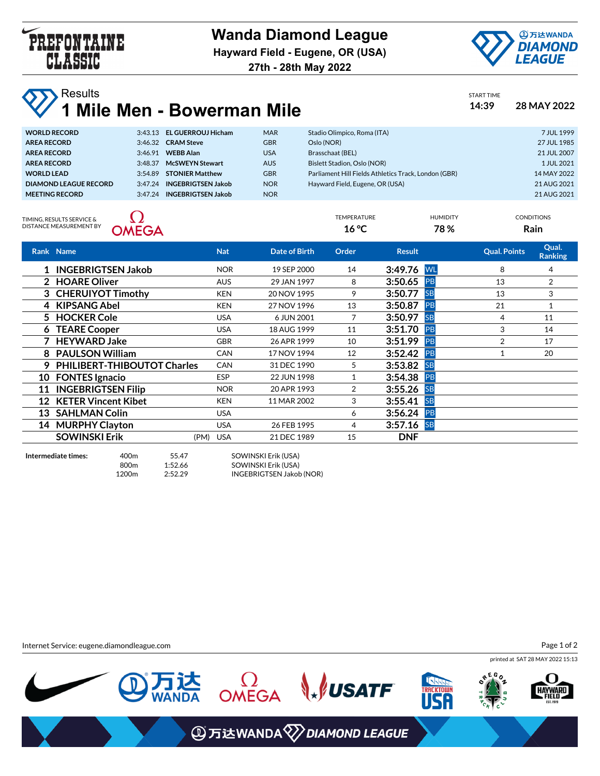



TEMPERATURE HUMIDITY CONDITIONS

**27th - 28th May 2022**

| <b>WA Results</b><br><b>V</b> 1 Mile Men - Bowerman Mile | START TIME<br>14:39 | 28 MAY 2022 |
|----------------------------------------------------------|---------------------|-------------|
|                                                          |                     |             |

| <b>WORLD RECORD</b>   |         | 3:43.13 EL GUERROUJ Hicham | <b>MAR</b> | Stadio Olimpico, Roma (ITA)                          | 7 JUL 1999  |
|-----------------------|---------|----------------------------|------------|------------------------------------------------------|-------------|
| <b>AREA RECORD</b>    |         | 3:46.32 CRAM Steve         | <b>GBR</b> | Oslo (NOR)                                           | 27 JUL 1985 |
| <b>AREA RECORD</b>    |         | 3:46.91 WEBB Alan          | <b>USA</b> | Brasschaat (BEL)                                     | 21 JUL 2007 |
| <b>AREA RECORD</b>    | 3.48.37 | <b>McSWEYN Stewart</b>     | <b>AUS</b> | Bislett Stadion, Oslo (NOR)                          | 1 JUL 2021  |
| <b>WORLD LEAD</b>     |         | 3:54.89 STONIER Matthew    | <b>GBR</b> | Parliament Hill Fields Athletics Track, London (GBR) | 14 MAY 2022 |
| DIAMOND LEAGUE RECORD |         | 3:47.24 INGEBRIGTSEN Jakob | <b>NOR</b> | Hayward Field, Eugene, OR (USA)                      | 21 AUG 2021 |
| <b>MEETING RECORD</b> | 3:47.24 | <b>INGEBRIGTSEN Jakob</b>  | <b>NOR</b> |                                                      | 21 AUG 2021 |
|                       |         |                            |            |                                                      |             |

TIMING, RESULTS SERVICE & DISTANCE MEASUREMENT BY



| )ISTANCE MEASUREMENT BY<br><b>OMEGA</b> |                              |            | $16^{\circ}$ C       |       | 78%           |           |                     | Rain                    |  |
|-----------------------------------------|------------------------------|------------|----------------------|-------|---------------|-----------|---------------------|-------------------------|--|
|                                         | Rank Name                    | <b>Nat</b> | <b>Date of Birth</b> | Order | <b>Result</b> |           | <b>Qual. Points</b> | Qual.<br><b>Ranking</b> |  |
|                                         | 1 INGEBRIGTSEN Jakob         | <b>NOR</b> | 19 SEP 2000          | 14    | 3:49.76 WL    |           | 8                   | 4                       |  |
|                                         | 2 HOARE Oliver               | <b>AUS</b> | 29 JAN 1997          | 8     | 3:50.65       | <b>PB</b> | 13                  | $\overline{2}$          |  |
|                                         | 3 CHERUIYOT Timothy          | <b>KEN</b> | 20 NOV 1995          | 9     | 3:50.77       | <b>SB</b> | 13                  | 3                       |  |
|                                         | 4 KIPSANG Abel               | <b>KEN</b> | 27 NOV 1996          | 13    | 3:50.87       | <b>PB</b> | 21                  |                         |  |
|                                         | 5 HOCKER Cole                | <b>USA</b> | 6 JUN 2001           | 7     | 3:50.97       | <b>SB</b> | 4                   | 11                      |  |
|                                         | 6 TEARE Cooper               | <b>USA</b> | 18 AUG 1999          | 11    | 3:51.70       | <b>PB</b> | 3                   | 14                      |  |
|                                         | 7 HEYWARD Jake               | <b>GBR</b> | 26 APR 1999          | 10    | 3:51.99       | <b>PB</b> | 2                   | 17                      |  |
|                                         | 8 PAULSON William            | <b>CAN</b> | 17 NOV 1994          | 12    | 3:52.42       | <b>PB</b> |                     | 20                      |  |
| 9                                       | PHILIBERT-THIBOUTOT Charles  | <b>CAN</b> | 31 DEC 1990          | 5     | 3:53.82       | <b>SB</b> |                     |                         |  |
|                                         | 10 FONTES Ignacio            | <b>ESP</b> | 22 JUN 1998          | 1     | 3:54.38       | PB        |                     |                         |  |
|                                         | 11 INGEBRIGTSEN Filip        | <b>NOR</b> | 20 APR 1993          | 2     | 3:55.26       | <b>SB</b> |                     |                         |  |
|                                         | 12 KETER Vincent Kibet       | <b>KEN</b> | 11 MAR 2002          | 3     | 3:55.41       | <b>SB</b> |                     |                         |  |
|                                         | 13 SAHLMAN Colin             | <b>USA</b> |                      | 6     | 3:56.24       | PB        |                     |                         |  |
|                                         | 14 MURPHY Clayton            | <b>USA</b> | 26 FEB 1995          | 4     | $3:57.16$ SB  |           |                     |                         |  |
|                                         | <b>SOWINSKI Erik</b><br>(PM) | <b>USA</b> | 21 DEC 1989          | 15    | <b>DNF</b>    |           |                     |                         |  |
|                                         |                              |            |                      |       |               |           |                     |                         |  |

**Intermediate times:** 400m 55.47 SOWINSKI Erik (USA)

 $\overline{\phantom{0}}$ 

800m 1:52.66 SOWINSKI Erik (USA) 1200m 2:52.29 INGEBRIGTSEN Jakob (NOR)

Internet Service: eugene.diamondleague.com

printed at SAT 28 MAY 2022 15:13 Page 1 of 2